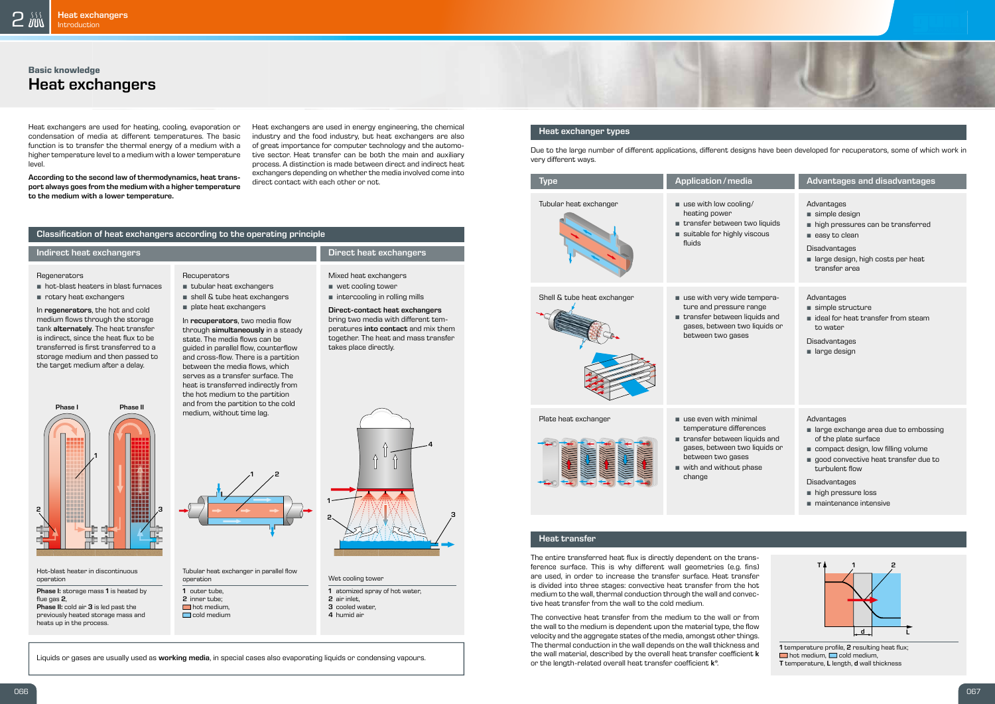

## **Basic knowledge** Heat exchangers



#### Heat exchanger types

Due to the large number of different applications, different designs have been developed for recuperators, some of which work in very different ways.

The entire transferred heat flux is directly dependent on the transference surface. This is why different wall geometries (e.g. fins) are used, in order to increase the transfer surface. Heat transfer is divided into three stages: convective heat transfer from the hot medium to the wall, thermal conduction through the wall and convective heat transfer from the wall to the cold medium.

The convective heat transfer from the medium to the wall or from the wall to the medium is dependent upon the material type, the flow velocity and the aggregate states of the media, amongst other things. The thermal conduction in the wall depends on the wall thickness and the wall material, described by the overall heat transfer coefficient  $k$ or the length-related overall heat transfer coefficient  $k^*$ .

In recuperators, two media flow through simultaneously in a steady state. The media flows can be guided in parallel flow, counterflow and cross-flow. There is a partition between the media flows, which serves as a transfer surface. The heat is transferred indirectly from the hot medium to the partition and from the partition to the cold medium, without time lag.

- hot-blast heaters in blast furnaces
- rotary heat exchangers

In regenerators, the hot and cold medium flows through the storage tank alternately. The heat transfer is indirect, since the heat flux to be transferred is first transferred to a storage medium and then passed to the target medium after a delay.

- tubular heat exchangers
- shell & tube heat exchangers **•** plate heat exchangers

Phase I: storage mass 1 is heated by flue gas 2. Phase II: cold air 3 is led past the previously heated storage mass and heats up in the process.

# **Recuperators**

Tubular heat exchanger in parallel flow operation

- 1 outer tube. 2 inner tube;
- $\Box$  hot medium,
- $\Box$  cold medium
- Wet cooling tower
	- 1 atomized spray of hot water.



Mixed heat exchangers **•** wet cooling tower **•** intercooling in rolling mills Direct-contact heat exchangers bring two media with different temperatures into contact and mix them together. The heat and mass transfer

takes place directly.

### Classification of heat exchangers according to the operating principle

#### Indirect heat exchangers **Direct heat exchangers**

#### **Regenerators**

|                                             | <b>Advantages and disadvantages</b>                                                                                                                                                                                                                       |
|---------------------------------------------|-----------------------------------------------------------------------------------------------------------------------------------------------------------------------------------------------------------------------------------------------------------|
| l<br>o liquids<br><b>SCOUS</b>              | Advantages<br>simple design<br>high pressures can be transferred<br>easy to clean<br>Disadvantages<br>large design, high costs per heat<br>transfer area                                                                                                  |
| empera-<br>ange<br>uids and<br>liquids or   | Advantages<br>simple structure<br>$\blacksquare$ ideal for heat transfer from steam<br>to water<br>Disadvantages<br>large design                                                                                                                          |
| al<br>nces<br>uids and<br>liquids or<br>ase | Advantages<br>large exchange area due to embossing<br>of the plate surface<br>compact design, low filling volume<br>good convective heat transfer due to<br>turbulent flow<br>Disadvantages<br>high pressure loss<br>$\blacksquare$ maintenance intensive |
|                                             |                                                                                                                                                                                                                                                           |

Hot-blast heater in discontinuous operation

- 2 air inlet,
- 3 cooled water,
- 4 humid air



4





1 temperature profile, 2 resulting heat flux;  $\Box$  hot medium,  $\Box$  cold medium, T temperature, L length, d wall thickness

#### Heat transfer

Heat exchangers are used for heating, cooling, evaporation or condensation of media at different temperatures. The basic function is to transfer the thermal energy of a medium with a higher temperature level to a medium with a lower temperature level.

According to the second law of thermodynamics, heat transport always goes from the medium with a higher temperature to the medium with a lower temperature.

Heat exchangers are used in energy engineering, the chemical industry and the food industry, but heat exchangers are also of great importance for computer technology and the automotive sector. Heat transfer can be both the main and auxiliary process. A distinction is made between direct and indirect heat exchangers depending on whether the media involved come into direct contact with each other or not.